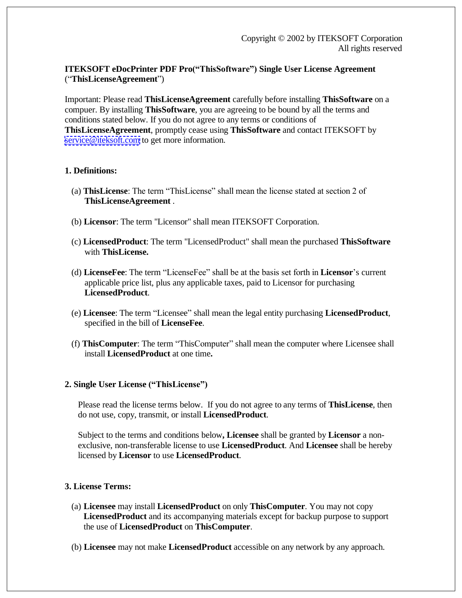# **ITEKSOFT eDocPrinter PDF Pro("ThisSoftware") Single User License Agreement**  ("**ThisLicenseAgreement**")

Important: Please read **ThisLicenseAgreement** carefully before installing **ThisSoftware** on a compuer. By installing **ThisSoftware**, you are agreeing to be bound by all the terms and conditions stated below. If you do not agree to any terms or conditions of **ThisLicenseAgreement**, promptly cease using **ThisSoftware** and contact ITEKSOFT by [service@iteksoft.com](mailto:service@iteksoft.com) to get more information.

## **1. Definitions:**

- (a) **ThisLicense**: The term "ThisLicense" shall mean the license stated at section 2 of **ThisLicenseAgreement** .
- (b) **Licensor**: The term "Licensor" shall mean ITEKSOFT Corporation.
- (c) **LicensedProduct**: The term "LicensedProduct" shall mean the purchased **ThisSoftware** with **ThisLicense.**
- (d) **LicenseFee**: The term "LicenseFee" shall be at the basis set forth in **Licensor**'s current applicable price list, plus any applicable taxes, paid to Licensor for purchasing **LicensedProduct**.
- (e) **Licensee**: The term "Licensee" shall mean the legal entity purchasing **LicensedProduct**, specified in the bill of **LicenseFee**.
- (f) **ThisComputer**: The term "ThisComputer" shall mean the computer where Licensee shall install **LicensedProduct** at one time**.**

## **2. Single User License ("ThisLicense")**

Please read the license terms below. If you do not agree to any terms of **ThisLicense**, then do not use, copy, transmit, or install **LicensedProduct**.

Subject to the terms and conditions below**, Licensee** shall be granted by **Licensor** a nonexclusive, non-transferable license to use **LicensedProduct**. And **Licensee** shall be hereby licensed by **Licensor** to use **LicensedProduct**.

## **3. License Terms:**

- (a) **Licensee** may install **LicensedProduct** on only **ThisComputer**. You may not copy **LicensedProduct** and its accompanying materials except for backup purpose to support the use of **LicensedProduct** on **ThisComputer**.
- (b) **Licensee** may not make **LicensedProduct** accessible on any network by any approach.